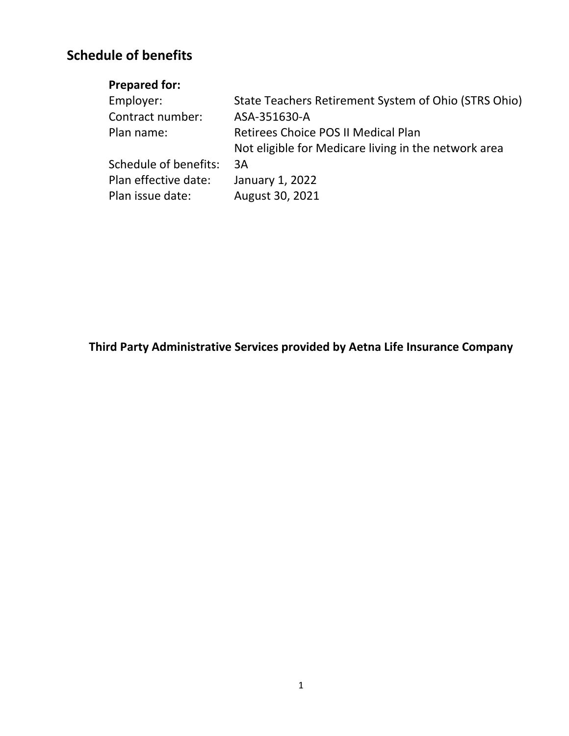# **Schedule of benefits**

# **Prepared for:**

| Employer:             | State Teachers Retirement System of Ohio (STRS Ohio) |
|-----------------------|------------------------------------------------------|
| Contract number:      | ASA-351630-A                                         |
| Plan name:            | Retirees Choice POS II Medical Plan                  |
|                       | Not eligible for Medicare living in the network area |
| Schedule of benefits: | 3A                                                   |
| Plan effective date:  | January 1, 2022                                      |
| Plan issue date:      | August 30, 2021                                      |
|                       |                                                      |

**Third Party Administrative Services provided by Aetna Life Insurance Company**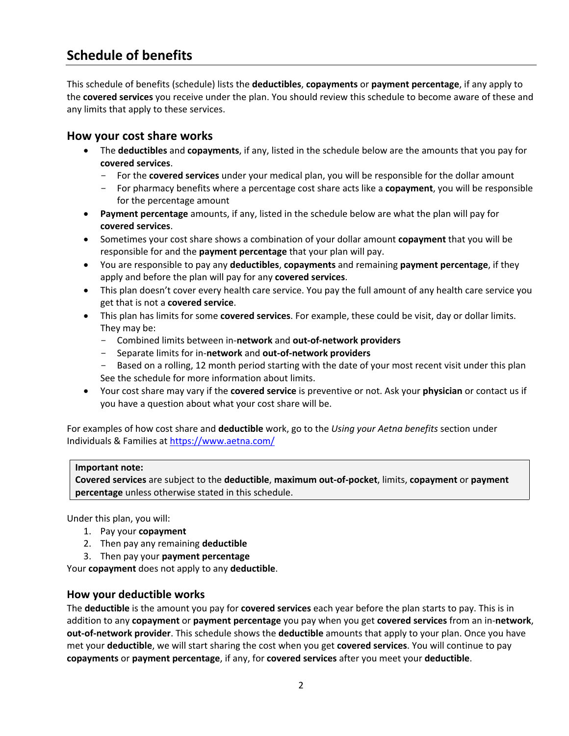# **Schedule of benefits**

This schedule of benefits (schedule) lists the **deductibles**, **copayments** or **payment percentage**, if any apply to the **covered services** you receive under the plan. You should review this schedule to become aware of these and any limits that apply to these services.

## **How your cost share works**

- The **deductibles** and **copayments**, if any, listed in the schedule below are the amounts that you pay for **covered services**.
	- For the **covered services** under your medical plan, you will be responsible for the dollar amount
	- For pharmacy benefits where a percentage cost share acts like a **copayment**, you will be responsible for the percentage amount
- **Payment percentage** amounts, if any, listed in the schedule below are what the plan will pay for **covered services**.
- Sometimes your cost share shows a combination of your dollar amount **copayment** that you will be responsible for and the **payment percentage** that your plan will pay.
- You are responsible to pay any **deductibles**, **copayments** and remaining **payment percentage**, if they apply and before the plan will pay for any **covered services**.
- This plan doesn't cover every health care service. You pay the full amount of any health care service you get that is not a **covered service**.
- This plan has limits for some **covered services**. For example, these could be visit, day or dollar limits. They may be:
	- Combined limits between in-**network** and **out-of-network providers**
	- Separate limits for in-**network** and **out-of-network providers**
	- Based on a rolling, 12 month period starting with the date of your most recent visit under this plan See the schedule for more information about limits.
- Your cost share may vary if the **covered service** is preventive or not. Ask your **physician** or contact us if you have a question about what your cost share will be.

For examples of how cost share and **deductible** work, go to the *Using your Aetna benefits* section under Individuals & Families at <https://www.aetna.com/>

#### **Important note:**

**Covered services** are subject to the **deductible**, **maximum out-of-pocket**, limits, **copayment** or **payment percentage** unless otherwise stated in this schedule.

Under this plan, you will:

- 1. Pay your **copayment**
- 2. Then pay any remaining **deductible**
- 3. Then pay your **payment percentage**

Your **copayment** does not apply to any **deductible**.

### **How your deductible works**

The **deductible** is the amount you pay for **covered services** each year before the plan starts to pay. This is in addition to any **copayment** or **payment percentage** you pay when you get **covered services** from an in-**network**, **out-of-network provider**. This schedule shows the **deductible** amounts that apply to your plan. Once you have met your **deductible**, we will start sharing the cost when you get **covered services**. You will continue to pay **copayments** or **payment percentage**, if any, for **covered services** after you meet your **deductible**.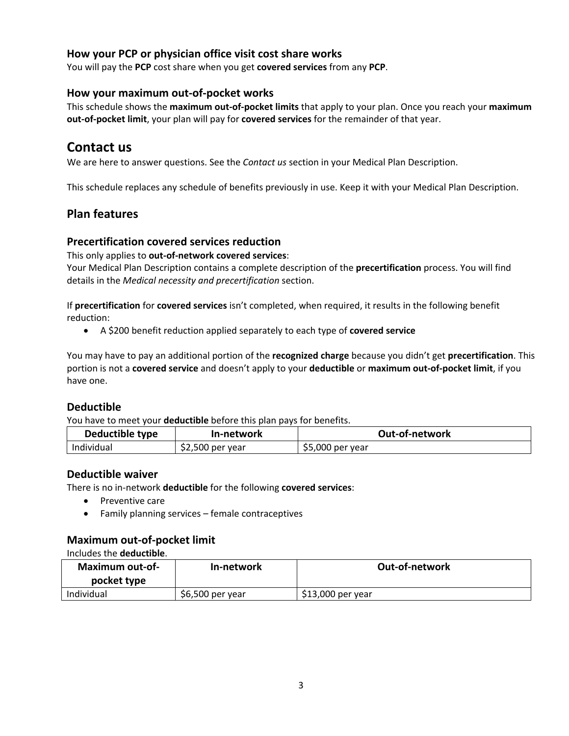## **How your PCP or physician office visit cost share works**

You will pay the **PCP** cost share when you get **covered services** from any **PCP**.

### **How your maximum out-of-pocket works**

This schedule shows the **maximum out-of-pocket limits** that apply to your plan. Once you reach your **maximum out-of-pocket limit**, your plan will pay for **covered services** for the remainder of that year.

## **Contact us**

We are here to answer questions. See the *Contact us* section in your Medical Plan Description.

This schedule replaces any schedule of benefits previously in use. Keep it with your Medical Plan Description.

## **Plan features**

### **Precertification covered services reduction**

This only applies to **out-of-network covered services**:

Your Medical Plan Description contains a complete description of the **precertification** process. You will find details in the *Medical necessity and precertification* section.

If **precertification** for **covered services** isn't completed, when required, it results in the following benefit reduction:

A \$200 benefit reduction applied separately to each type of **covered service**

You may have to pay an additional portion of the **recognized charge** because you didn't get **precertification**. This portion is not a **covered service** and doesn't apply to your **deductible** or **maximum out-of-pocket limit**, if you have one.

### **Deductible**

You have to meet your **deductible** before this plan pays for benefits.

| Deductible type | In-network       | Out-of-network    |
|-----------------|------------------|-------------------|
| Individual      | \$2,500 per year | $$5,000$ per year |

### **Deductible waiver**

There is no in-network **deductible** for the following **covered services**:

- Preventive care
- Family planning services female contraceptives

### **Maximum out-of-pocket limit**

#### Includes the **deductible**.

| Maximum out-of-<br>pocket type | In-network       | Out-of-network    |
|--------------------------------|------------------|-------------------|
| Individual                     | \$6,500 per year | \$13,000 per year |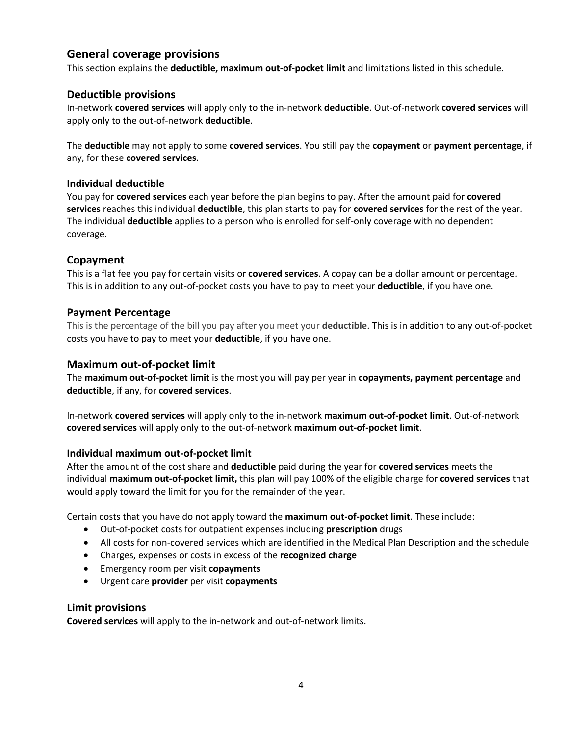## **General coverage provisions**

This section explains the **deductible, maximum out-of-pocket limit** and limitations listed in this schedule.

### **Deductible provisions**

In-network **covered services** will apply only to the in-network **deductible**. Out-of-network **covered services** will apply only to the out-of-network **deductible**.

The **deductible** may not apply to some **covered services**. You still pay the **copayment** or **payment percentage**, if any, for these **covered services**.

#### **Individual deductible**

You pay for **covered services** each year before the plan begins to pay. After the amount paid for **covered services** reaches this individual **deductible**, this plan starts to pay for **covered services** for the rest of the year. The individual **deductible** applies to a person who is enrolled for self-only coverage with no dependent coverage.

#### **Copayment**

This is a flat fee you pay for certain visits or **covered services**. A copay can be a dollar amount or percentage. This is in addition to any out-of-pocket costs you have to pay to meet your **deductible**, if you have one.

#### **Payment Percentage**

This is the percentage of the bill you pay after you meet your **deductible**. This is in addition to any out-of-pocket costs you have to pay to meet your **deductible**, if you have one.

### **Maximum out-of-pocket limit**

The **maximum out-of-pocket limit** is the most you will pay per year in **copayments, payment percentage** and **deductible**, if any, for **covered services**.

In-network **covered services** will apply only to the in-network **maximum out-of-pocket limit**. Out-of-network **covered services** will apply only to the out-of-network **maximum out-of-pocket limit**.

#### **Individual maximum out-of-pocket limit**

After the amount of the cost share and **deductible** paid during the year for **covered services** meets the individual **maximum out-of-pocket limit,** this plan will pay 100% of the eligible charge for **covered services** that would apply toward the limit for you for the remainder of the year.

Certain costs that you have do not apply toward the **maximum out-of-pocket limit**. These include:

- Out-of-pocket costs for outpatient expenses including **prescription** drugs
- All costs for non-covered services which are identified in the Medical Plan Description and the schedule
- Charges, expenses or costs in excess of the **recognized charge**
- Emergency room per visit **copayments**
- Urgent care **provider** per visit **copayments**

#### **Limit provisions**

**Covered services** will apply to the in-network and out-of-network limits.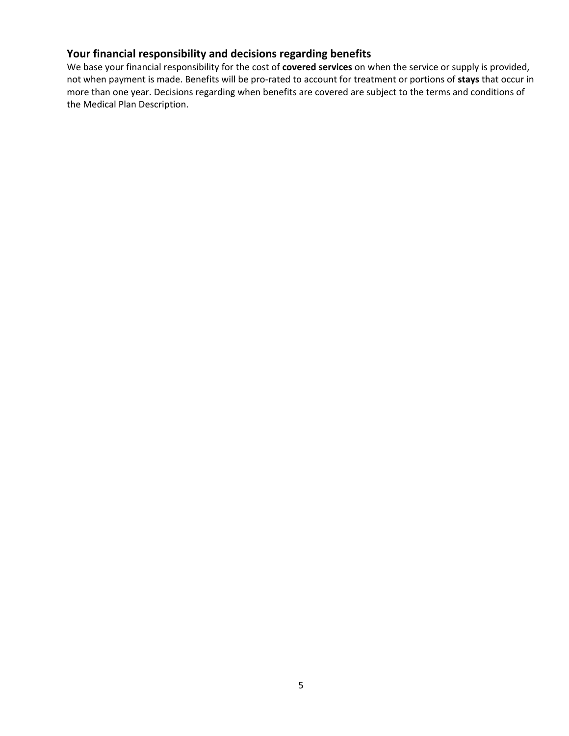## **Your financial responsibility and decisions regarding benefits**

We base your financial responsibility for the cost of **covered services** on when the service or supply is provided, not when payment is made. Benefits will be pro-rated to account for treatment or portions of **stays** that occur in more than one year. Decisions regarding when benefits are covered are subject to the terms and conditions of the Medical Plan Description.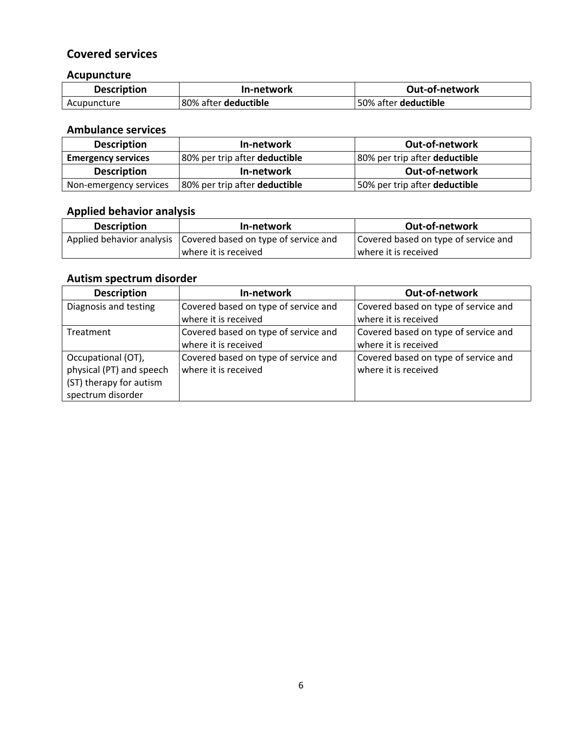## **Covered services**

## **Acupuncture**

| <b>Description</b> | In-network                  | <b>Out-of-network</b>       |
|--------------------|-----------------------------|-----------------------------|
| Acupuncture        | 80% after <b>deductible</b> | 50% after <b>deductible</b> |

## **Ambulance services**

| <b>Description</b>        | In-network                           | <b>Out-of-network</b>                |
|---------------------------|--------------------------------------|--------------------------------------|
| <b>Emergency services</b> | 80% per trip after <b>deductible</b> | 80% per trip after <b>deductible</b> |
| <b>Description</b>        | In-network                           | <b>Out-of-network</b>                |
| Non-emergency services    | 80% per trip after deductible        | 50% per trip after deductible        |

## **Applied behavior analysis**

| <b>Description</b> | In-network                                                       | Out-of-network                       |
|--------------------|------------------------------------------------------------------|--------------------------------------|
|                    | Applied behavior analysis   Covered based on type of service and | Covered based on type of service and |
|                    | where it is received                                             | where it is received_                |

## **Autism spectrum disorder**

| <b>Description</b>       | In-network                           | Out-of-network                       |
|--------------------------|--------------------------------------|--------------------------------------|
| Diagnosis and testing    | Covered based on type of service and | Covered based on type of service and |
|                          | where it is received                 | where it is received                 |
| Treatment                | Covered based on type of service and | Covered based on type of service and |
|                          | where it is received                 | where it is received                 |
| Occupational (OT),       | Covered based on type of service and | Covered based on type of service and |
| physical (PT) and speech | where it is received                 | where it is received                 |
| (ST) therapy for autism  |                                      |                                      |
| spectrum disorder        |                                      |                                      |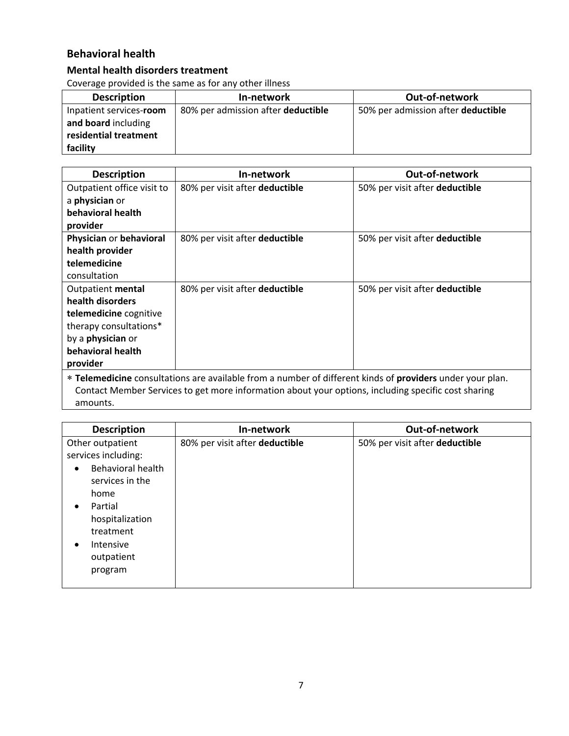## **Behavioral health**

## **Mental health disorders treatment**

Coverage provided is the same as for any other illness

| <b>Description</b>                                                                  | In-network                         | Out-of-network                     |
|-------------------------------------------------------------------------------------|------------------------------------|------------------------------------|
| Inpatient services-room<br>and board including<br>residential treatment<br>facility | 80% per admission after deductible | 50% per admission after deductible |

| <b>Description</b>                                                                                               | In-network                     | <b>Out-of-network</b>          |
|------------------------------------------------------------------------------------------------------------------|--------------------------------|--------------------------------|
| Outpatient office visit to                                                                                       | 80% per visit after deductible | 50% per visit after deductible |
| a <b>physician</b> or                                                                                            |                                |                                |
| behavioral health                                                                                                |                                |                                |
| provider                                                                                                         |                                |                                |
| Physician or behavioral                                                                                          | 80% per visit after deductible | 50% per visit after deductible |
| health provider                                                                                                  |                                |                                |
| telemedicine                                                                                                     |                                |                                |
| consultation                                                                                                     |                                |                                |
| Outpatient mental                                                                                                | 80% per visit after deductible | 50% per visit after deductible |
| health disorders                                                                                                 |                                |                                |
| telemedicine cognitive                                                                                           |                                |                                |
| therapy consultations*                                                                                           |                                |                                |
| by a <b>physician</b> or                                                                                         |                                |                                |
| behavioral health                                                                                                |                                |                                |
| provider                                                                                                         |                                |                                |
| * Telemedicine consultations are available from a number of different kinds of <b>providers</b> under your plan. |                                |                                |
| Contact Member Services to get more information about your options, including specific cost sharing              |                                |                                |
| amounts.                                                                                                         |                                |                                |

| <b>Description</b>                                                                                                                                                                                              | In-network                     | Out-of-network                 |
|-----------------------------------------------------------------------------------------------------------------------------------------------------------------------------------------------------------------|--------------------------------|--------------------------------|
| Other outpatient<br>services including:<br>Behavioral health<br>$\bullet$<br>services in the<br>home<br>Partial<br>$\bullet$<br>hospitalization<br>treatment<br>Intensive<br>$\bullet$<br>outpatient<br>program | 80% per visit after deductible | 50% per visit after deductible |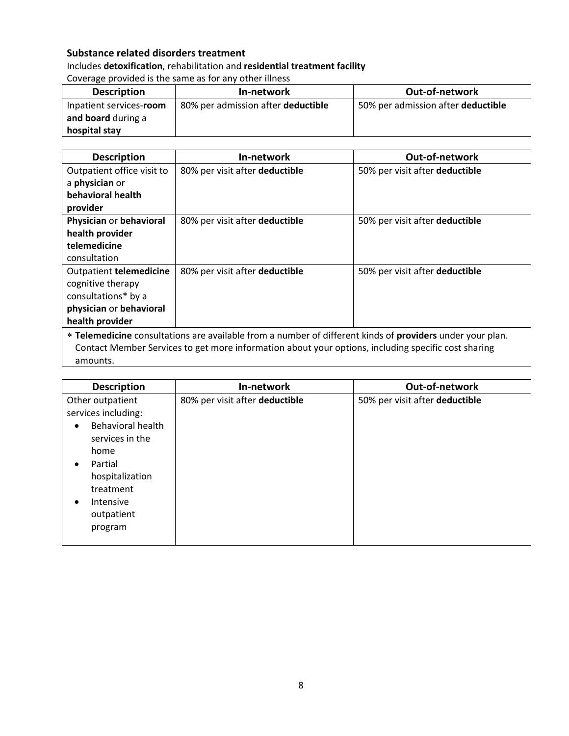## **Substance related disorders treatment**

## Includes **detoxification**, rehabilitation and **residential treatment facility** Coverage provided is the same as for any other illness

| <b>Description</b>      | In-network                         | Out-of-network                     |
|-------------------------|------------------------------------|------------------------------------|
| Inpatient services-room | 80% per admission after deductible | 50% per admission after deductible |
| and board during a      |                                    |                                    |
| hospital stay           |                                    |                                    |

| <b>Description</b>                                                                                        | In-network                     | <b>Out-of-network</b>          |
|-----------------------------------------------------------------------------------------------------------|--------------------------------|--------------------------------|
| Outpatient office visit to                                                                                | 80% per visit after deductible | 50% per visit after deductible |
| a physician or                                                                                            |                                |                                |
| behavioral health                                                                                         |                                |                                |
| provider                                                                                                  |                                |                                |
| Physician or behavioral                                                                                   | 80% per visit after deductible | 50% per visit after deductible |
| health provider                                                                                           |                                |                                |
| telemedicine                                                                                              |                                |                                |
| consultation                                                                                              |                                |                                |
| Outpatient telemedicine                                                                                   | 80% per visit after deductible | 50% per visit after deductible |
| cognitive therapy                                                                                         |                                |                                |
| consultations* by a                                                                                       |                                |                                |
| physician or behavioral                                                                                   |                                |                                |
| health provider                                                                                           |                                |                                |
| * Telemedicine consultations are available from a number of different kinds of providers under your plan. |                                |                                |
| Contact Member Services to get more information about your options, including specific cost sharing       |                                |                                |

amounts.

| <b>Description</b>                                                                                                            | In-network                     | Out-of-network                 |
|-------------------------------------------------------------------------------------------------------------------------------|--------------------------------|--------------------------------|
| Other outpatient                                                                                                              | 80% per visit after deductible | 50% per visit after deductible |
| services including:                                                                                                           |                                |                                |
| Behavioral health<br>services in the<br>home<br>Partial<br>hospitalization<br>treatment<br>Intensive<br>outpatient<br>program |                                |                                |
|                                                                                                                               |                                |                                |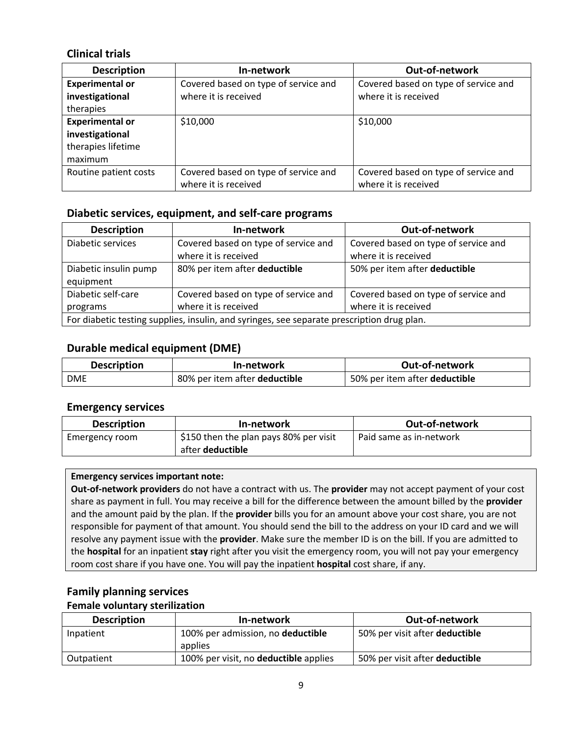## **Clinical trials**

| <b>Description</b>     | In-network                           | Out-of-network                       |
|------------------------|--------------------------------------|--------------------------------------|
| <b>Experimental or</b> | Covered based on type of service and | Covered based on type of service and |
| investigational        | where it is received                 | where it is received                 |
| therapies              |                                      |                                      |
| <b>Experimental or</b> | \$10,000                             | \$10,000                             |
| investigational        |                                      |                                      |
| therapies lifetime     |                                      |                                      |
| maximum                |                                      |                                      |
| Routine patient costs  | Covered based on type of service and | Covered based on type of service and |
|                        | where it is received                 | where it is received                 |

### **Diabetic services, equipment, and self-care programs**

| <b>Description</b>                                                                         | In-network                           | Out-of-network                       |
|--------------------------------------------------------------------------------------------|--------------------------------------|--------------------------------------|
| Diabetic services                                                                          | Covered based on type of service and | Covered based on type of service and |
|                                                                                            | where it is received                 | where it is received                 |
| Diabetic insulin pump                                                                      | 80% per item after deductible        | 50% per item after deductible        |
| equipment                                                                                  |                                      |                                      |
| Diabetic self-care                                                                         | Covered based on type of service and | Covered based on type of service and |
| programs                                                                                   | where it is received                 | where it is received                 |
| For diabetic testing supplies, insulin, and syringes, see separate prescription drug plan. |                                      |                                      |

## **Durable medical equipment (DME)**

| <b>Description</b> | In-network                    | Out-of-network                |
|--------------------|-------------------------------|-------------------------------|
| <b>DME</b>         | 80% per item after deductible | 50% per item after deductible |

### **Emergency services**

| <b>Description</b> | In-network                             | <b>Out-of-network</b>   |
|--------------------|----------------------------------------|-------------------------|
| Emergency room     | \$150 then the plan pays 80% per visit | Paid same as in-network |
|                    | after <b>deductible</b>                |                         |

### **Emergency services important note:**

**Out-of-network providers** do not have a contract with us. The **provider** may not accept payment of your cost share as payment in full. You may receive a bill for the difference between the amount billed by the **provider**  and the amount paid by the plan. If the **provider** bills you for an amount above your cost share, you are not responsible for payment of that amount. You should send the bill to the address on your ID card and we will resolve any payment issue with the **provider**. Make sure the member ID is on the bill. If you are admitted to the **hospital** for an inpatient **stay** right after you visit the emergency room, you will not pay your emergency room cost share if you have one. You will pay the inpatient **hospital** cost share, if any.

## **Family planning services**

### **Female voluntary sterilization**

| <b>Description</b> | In-network                                   | Out-of-network                        |
|--------------------|----------------------------------------------|---------------------------------------|
| Inpatient          | 100% per admission, no <b>deductible</b>     | 50% per visit after <b>deductible</b> |
|                    | applies                                      |                                       |
| Outpatient         | 100% per visit, no <b>deductible</b> applies | 50% per visit after deductible        |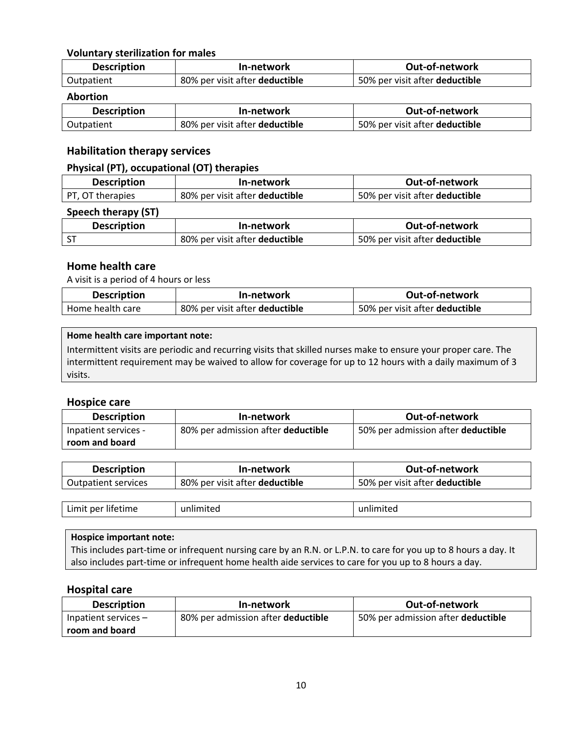### **Voluntary sterilization for males**

| <b>Description</b> | In-network                     | Out-of-network                 |
|--------------------|--------------------------------|--------------------------------|
| Outpatient         | 80% per visit after deductible | 50% per visit after deductible |

#### **Abortion**

| <b>Description</b> | In-network                     | Out-of-network                 |
|--------------------|--------------------------------|--------------------------------|
| Outpatient         | 80% per visit after deductible | 50% per visit after deductible |

### **Habilitation therapy services**

#### **Physical (PT), occupational (OT) therapies**

| <b>Description</b> | In-network                     | Out-of-network                 |
|--------------------|--------------------------------|--------------------------------|
| PT, OT therapies   | 80% per visit after deductible | 50% per visit after deductible |

### **Speech therapy (ST)**

| <b>Description</b> | In-network                     | <b>Out-of-network</b>          |
|--------------------|--------------------------------|--------------------------------|
| $\sim$             | 80% per visit after deductible | 50% per visit after deductible |

#### **Home health care**

A visit is a period of 4 hours or less

| <b>Description</b> | In-network                     | <b>Out-of-network</b>          |
|--------------------|--------------------------------|--------------------------------|
| Home health care   | 80% per visit after deductible | 50% per visit after deductible |

#### **Home health care important note:**

Intermittent visits are periodic and recurring visits that skilled nurses make to ensure your proper care. The intermittent requirement may be waived to allow for coverage for up to 12 hours with a daily maximum of 3 visits.

#### **Hospice care**

| <b>Description</b>   | In-network                         | <b>Out-of-network</b>              |
|----------------------|------------------------------------|------------------------------------|
| Inpatient services - | 80% per admission after deductible | 50% per admission after deductible |
| room and board       |                                    |                                    |

| <b>Description</b>  | In-network                     | Out-of-network                 |
|---------------------|--------------------------------|--------------------------------|
| Outpatient services | 80% per visit after deductible | 50% per visit after deductible |

|  | .<br>.<br>ner<br>.<br>ume<br>.<br> | ur<br>. |  |
|--|------------------------------------|---------|--|
|--|------------------------------------|---------|--|

#### **Hospice important note:**

This includes part-time or infrequent nursing care by an R.N. or L.P.N. to care for you up to 8 hours a day. It also includes part-time or infrequent home health aide services to care for you up to 8 hours a day.

#### **Hospital care**

| <b>Description</b>     | In-network                         | Out-of-network                     |
|------------------------|------------------------------------|------------------------------------|
| Inpatient services $-$ | 80% per admission after deductible | 50% per admission after deductible |
| room and board         |                                    |                                    |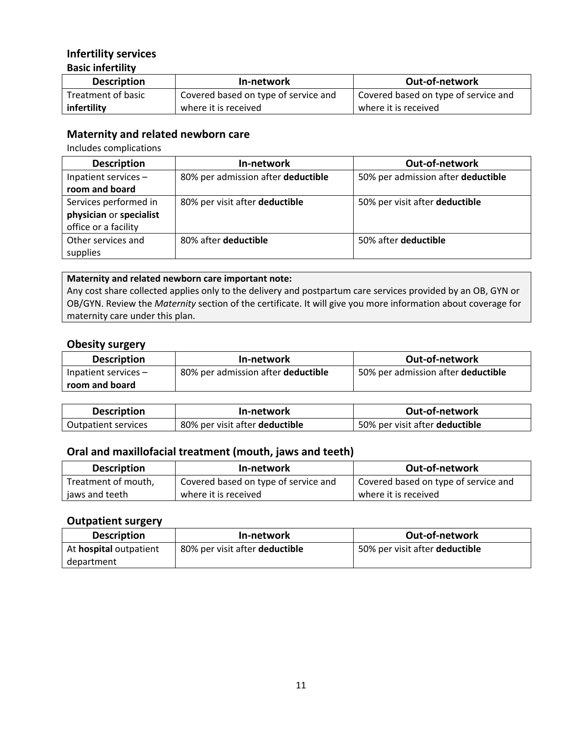## **Infertility services Basic infertility**

| <b>Description</b> | In-network                           | <b>Out-of-network</b>                |
|--------------------|--------------------------------------|--------------------------------------|
| Treatment of basic | Covered based on type of service and | Covered based on type of service and |
| infertility        | where it is received                 | where it is received                 |

## **Maternity and related newborn care**

Includes complications

| <b>Description</b>      | In-network                         | <b>Out-of-network</b>              |
|-------------------------|------------------------------------|------------------------------------|
| Inpatient services -    | 80% per admission after deductible | 50% per admission after deductible |
| room and board          |                                    |                                    |
| Services performed in   | 80% per visit after deductible     | 50% per visit after deductible     |
| physician or specialist |                                    |                                    |
| office or a facility    |                                    |                                    |
| Other services and      | 80% after deductible               | 50% after deductible               |
| supplies                |                                    |                                    |

#### **Maternity and related newborn care important note:**

Any cost share collected applies only to the delivery and postpartum care services provided by an OB, GYN or OB/GYN. Review the *Maternity* section of the certificate. It will give you more information about coverage for maternity care under this plan.

#### **Obesity surgery**

| <b>Description</b>     | In-network                         | <b>Out-of-network</b>              |
|------------------------|------------------------------------|------------------------------------|
| Inpatient services $-$ | 80% per admission after deductible | 50% per admission after deductible |
| room and board         |                                    |                                    |

| <b>Description</b>         | In-network                     | <b>Out-of-network</b>          |
|----------------------------|--------------------------------|--------------------------------|
| <b>Outpatient services</b> | 80% per visit after deductible | 50% per visit after deductible |

## **Oral and maxillofacial treatment (mouth, jaws and teeth)**

| <b>Description</b>  | In-network                           | Out-of-network                       |
|---------------------|--------------------------------------|--------------------------------------|
| Treatment of mouth, | Covered based on type of service and | Covered based on type of service and |
| ' jaws and teeth    | where it is received                 | where it is received                 |

#### **Outpatient surgery**

| <b>Description</b>            | In-network                     | <b>Out-of-network</b>          |
|-------------------------------|--------------------------------|--------------------------------|
| At <b>hospital</b> outpatient | 80% per visit after deductible | 50% per visit after deductible |
| department                    |                                |                                |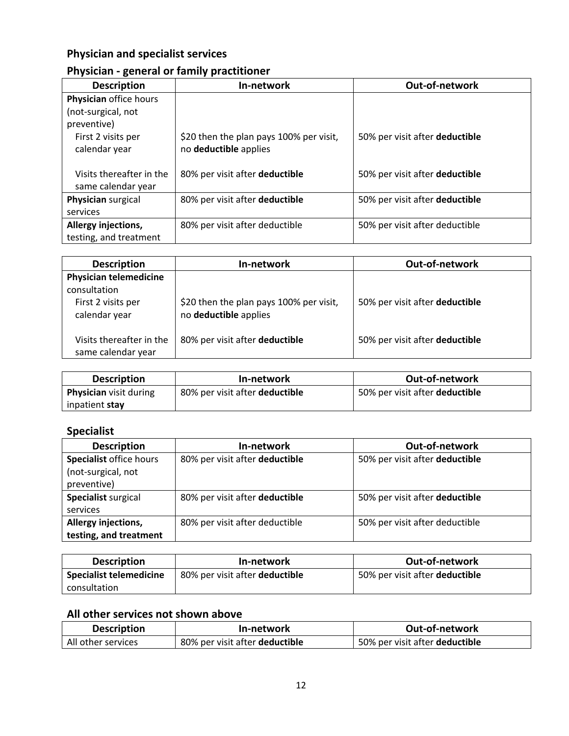## **Physician and specialist services**

## **Physician - general or family practitioner**

| <b>Description</b>                             | In-network                                                       | <b>Out-of-network</b>          |
|------------------------------------------------|------------------------------------------------------------------|--------------------------------|
| Physician office hours                         |                                                                  |                                |
| (not-surgical, not                             |                                                                  |                                |
| preventive)                                    |                                                                  |                                |
| First 2 visits per<br>calendar year            | \$20 then the plan pays 100% per visit,<br>no deductible applies | 50% per visit after deductible |
| Visits thereafter in the<br>same calendar year | 80% per visit after deductible                                   | 50% per visit after deductible |
| Physician surgical                             | 80% per visit after deductible                                   | 50% per visit after deductible |
| services                                       |                                                                  |                                |
| Allergy injections,                            | 80% per visit after deductible                                   | 50% per visit after deductible |
| testing, and treatment                         |                                                                  |                                |

| <b>Description</b>                             | In-network                                                       | <b>Out-of-network</b>          |
|------------------------------------------------|------------------------------------------------------------------|--------------------------------|
| <b>Physician telemedicine</b>                  |                                                                  |                                |
| consultation                                   |                                                                  |                                |
| First 2 visits per<br>calendar year            | \$20 then the plan pays 100% per visit,<br>no deductible applies | 50% per visit after deductible |
| Visits thereafter in the<br>same calendar year | 80% per visit after deductible                                   | 50% per visit after deductible |

| <b>Description</b>            | In-network                     | <b>Out-of-network</b>          |
|-------------------------------|--------------------------------|--------------------------------|
| <b>Physician</b> visit during | 80% per visit after deductible | 50% per visit after deductible |
| inpatient stay                |                                |                                |

## **Specialist**

| <b>Description</b>      | In-network                     | Out-of-network                 |
|-------------------------|--------------------------------|--------------------------------|
| Specialist office hours | 80% per visit after deductible | 50% per visit after deductible |
| (not-surgical, not      |                                |                                |
| preventive)             |                                |                                |
| Specialist surgical     | 80% per visit after deductible | 50% per visit after deductible |
| services                |                                |                                |
| Allergy injections,     | 80% per visit after deductible | 50% per visit after deductible |
| testing, and treatment  |                                |                                |

| <b>Description</b>      | In-network                            | Out-of-network                 |
|-------------------------|---------------------------------------|--------------------------------|
| Specialist telemedicine | 80% per visit after <b>deductible</b> | 50% per visit after deductible |
| consultation            |                                       |                                |

## **All other services not shown above**

| <b>Description</b> | In-network                     | Out-of-network                 |
|--------------------|--------------------------------|--------------------------------|
| All other services | 80% per visit after deductible | 50% per visit after deductible |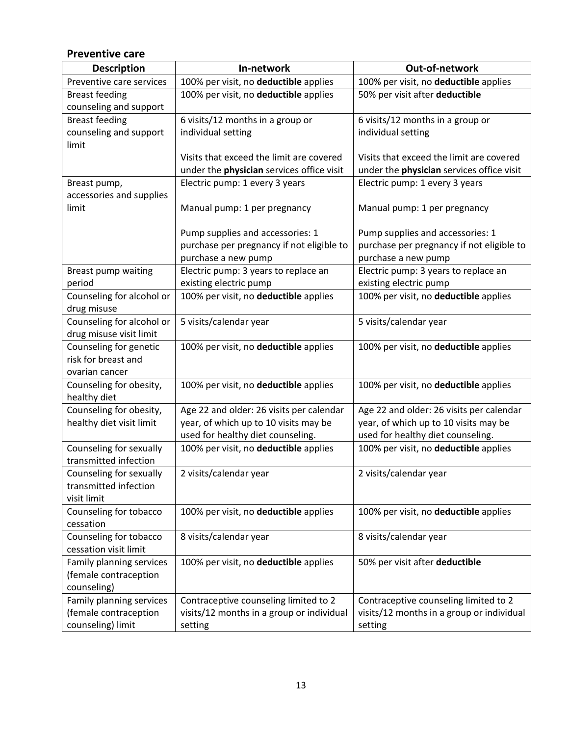## **Preventive care**

| <b>Description</b>                      | In-network                                | Out-of-network                            |
|-----------------------------------------|-------------------------------------------|-------------------------------------------|
| Preventive care services                | 100% per visit, no deductible applies     | 100% per visit, no deductible applies     |
| <b>Breast feeding</b>                   | 100% per visit, no deductible applies     | 50% per visit after deductible            |
| counseling and support                  |                                           |                                           |
| <b>Breast feeding</b>                   | 6 visits/12 months in a group or          | 6 visits/12 months in a group or          |
| counseling and support                  | individual setting                        | individual setting                        |
| limit                                   |                                           |                                           |
|                                         | Visits that exceed the limit are covered  | Visits that exceed the limit are covered  |
|                                         | under the physician services office visit | under the physician services office visit |
| Breast pump,                            | Electric pump: 1 every 3 years            | Electric pump: 1 every 3 years            |
| accessories and supplies                |                                           |                                           |
| limit                                   | Manual pump: 1 per pregnancy              | Manual pump: 1 per pregnancy              |
|                                         |                                           |                                           |
|                                         | Pump supplies and accessories: 1          | Pump supplies and accessories: 1          |
|                                         | purchase per pregnancy if not eligible to | purchase per pregnancy if not eligible to |
|                                         | purchase a new pump                       | purchase a new pump                       |
| Breast pump waiting                     | Electric pump: 3 years to replace an      | Electric pump: 3 years to replace an      |
| period                                  | existing electric pump                    | existing electric pump                    |
| Counseling for alcohol or               | 100% per visit, no deductible applies     | 100% per visit, no deductible applies     |
| drug misuse                             |                                           |                                           |
| Counseling for alcohol or               | 5 visits/calendar year                    | 5 visits/calendar year                    |
| drug misuse visit limit                 |                                           |                                           |
| Counseling for genetic                  | 100% per visit, no deductible applies     | 100% per visit, no deductible applies     |
| risk for breast and                     |                                           |                                           |
| ovarian cancer                          |                                           |                                           |
| Counseling for obesity,<br>healthy diet | 100% per visit, no deductible applies     | 100% per visit, no deductible applies     |
| Counseling for obesity,                 | Age 22 and older: 26 visits per calendar  | Age 22 and older: 26 visits per calendar  |
| healthy diet visit limit                | year, of which up to 10 visits may be     | year, of which up to 10 visits may be     |
|                                         | used for healthy diet counseling.         | used for healthy diet counseling.         |
| Counseling for sexually                 | 100% per visit, no deductible applies     | 100% per visit, no deductible applies     |
| transmitted infection                   |                                           |                                           |
| Counseling for sexually                 | 2 visits/calendar year                    | 2 visits/calendar year                    |
| transmitted infection                   |                                           |                                           |
| visit limit                             |                                           |                                           |
| Counseling for tobacco                  | 100% per visit, no deductible applies     | 100% per visit, no deductible applies     |
| cessation                               |                                           |                                           |
| Counseling for tobacco                  | 8 visits/calendar year                    | 8 visits/calendar year                    |
| cessation visit limit                   |                                           |                                           |
| Family planning services                | 100% per visit, no deductible applies     | 50% per visit after deductible            |
| (female contraception                   |                                           |                                           |
| counseling)                             |                                           |                                           |
| Family planning services                | Contraceptive counseling limited to 2     | Contraceptive counseling limited to 2     |
| (female contraception                   | visits/12 months in a group or individual | visits/12 months in a group or individual |
| counseling) limit                       | setting                                   | setting                                   |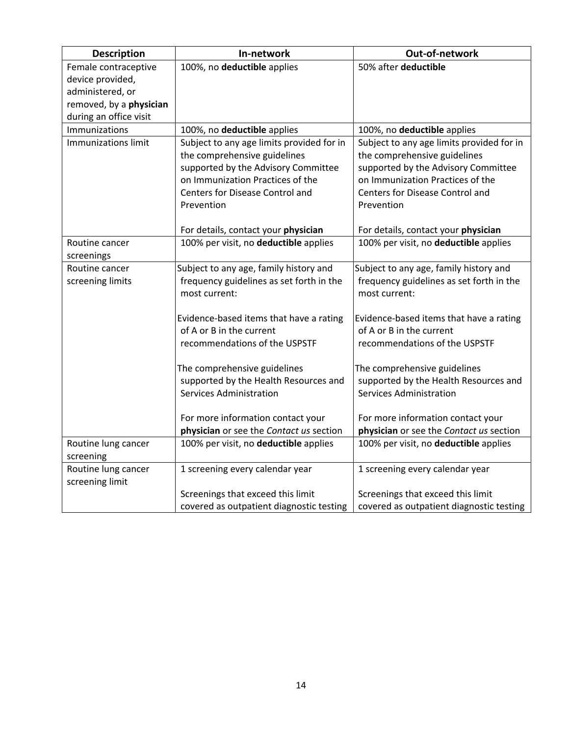| <b>Description</b>               | In-network                                | Out-of-network                            |
|----------------------------------|-------------------------------------------|-------------------------------------------|
| Female contraceptive             | 100%, no deductible applies               | 50% after deductible                      |
| device provided,                 |                                           |                                           |
| administered, or                 |                                           |                                           |
| removed, by a physician          |                                           |                                           |
| during an office visit           |                                           |                                           |
| Immunizations                    | 100%, no deductible applies               | 100%, no deductible applies               |
| <b>Immunizations limit</b>       | Subject to any age limits provided for in | Subject to any age limits provided for in |
|                                  | the comprehensive guidelines              | the comprehensive guidelines              |
|                                  | supported by the Advisory Committee       | supported by the Advisory Committee       |
|                                  | on Immunization Practices of the          | on Immunization Practices of the          |
|                                  | Centers for Disease Control and           | Centers for Disease Control and           |
|                                  | Prevention                                | Prevention                                |
|                                  |                                           |                                           |
|                                  | For details, contact your physician       | For details, contact your physician       |
| Routine cancer                   | 100% per visit, no deductible applies     | 100% per visit, no deductible applies     |
| screenings                       |                                           |                                           |
| Routine cancer                   | Subject to any age, family history and    | Subject to any age, family history and    |
| screening limits                 | frequency guidelines as set forth in the  | frequency guidelines as set forth in the  |
|                                  | most current:                             | most current:                             |
|                                  |                                           |                                           |
|                                  | Evidence-based items that have a rating   | Evidence-based items that have a rating   |
|                                  | of A or B in the current                  | of A or B in the current                  |
|                                  | recommendations of the USPSTF             | recommendations of the USPSTF             |
|                                  |                                           |                                           |
|                                  | The comprehensive guidelines              | The comprehensive guidelines              |
|                                  | supported by the Health Resources and     | supported by the Health Resources and     |
|                                  | Services Administration                   | Services Administration                   |
|                                  | For more information contact your         | For more information contact your         |
|                                  | physician or see the Contact us section   | physician or see the Contact us section   |
|                                  |                                           | 100% per visit, no deductible applies     |
| Routine lung cancer<br>screening | 100% per visit, no deductible applies     |                                           |
| Routine lung cancer              | 1 screening every calendar year           | 1 screening every calendar year           |
| screening limit                  |                                           |                                           |
|                                  | Screenings that exceed this limit         | Screenings that exceed this limit         |
|                                  | covered as outpatient diagnostic testing  | covered as outpatient diagnostic testing  |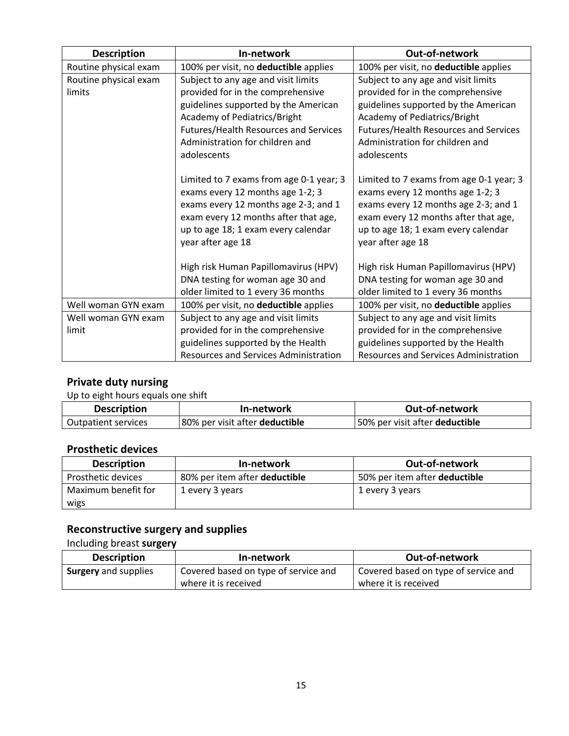| <b>Description</b>    | In-network                                   | Out-of-network                          |
|-----------------------|----------------------------------------------|-----------------------------------------|
| Routine physical exam | 100% per visit, no deductible applies        | 100% per visit, no deductible applies   |
| Routine physical exam | Subject to any age and visit limits          | Subject to any age and visit limits     |
| limits                | provided for in the comprehensive            | provided for in the comprehensive       |
|                       | guidelines supported by the American         | guidelines supported by the American    |
|                       | Academy of Pediatrics/Bright                 | Academy of Pediatrics/Bright            |
|                       | Futures/Health Resources and Services        | Futures/Health Resources and Services   |
|                       | Administration for children and              | Administration for children and         |
|                       | adolescents                                  | adolescents                             |
|                       |                                              |                                         |
|                       | Limited to 7 exams from age 0-1 year; 3      | Limited to 7 exams from age 0-1 year; 3 |
|                       | exams every 12 months age 1-2; 3             | exams every 12 months age 1-2; 3        |
|                       | exams every 12 months age 2-3; and 1         | exams every 12 months age 2-3; and 1    |
|                       | exam every 12 months after that age,         | exam every 12 months after that age,    |
|                       | up to age 18; 1 exam every calendar          | up to age 18; 1 exam every calendar     |
|                       | year after age 18                            | year after age 18                       |
|                       |                                              |                                         |
|                       | High risk Human Papillomavirus (HPV)         | High risk Human Papillomavirus (HPV)    |
|                       | DNA testing for woman age 30 and             | DNA testing for woman age 30 and        |
|                       | older limited to 1 every 36 months           | older limited to 1 every 36 months      |
| Well woman GYN exam   | 100% per visit, no deductible applies        | 100% per visit, no deductible applies   |
| Well woman GYN exam   | Subject to any age and visit limits          | Subject to any age and visit limits     |
| limit                 | provided for in the comprehensive            | provided for in the comprehensive       |
|                       | guidelines supported by the Health           | guidelines supported by the Health      |
|                       | <b>Resources and Services Administration</b> | Resources and Services Administration   |

## **Private duty nursing**

Up to eight hours equals one shift

| <b>Description</b>  | In-network                     | <b>Out-of-network</b>          |
|---------------------|--------------------------------|--------------------------------|
| Outpatient services | 80% per visit after deductible | 50% per visit after deductible |

## **Prosthetic devices**

| <b>Description</b>  | In-network                    | Out-of-network                |
|---------------------|-------------------------------|-------------------------------|
| Prosthetic devices  | 80% per item after deductible | 50% per item after deductible |
| Maximum benefit for | 1 every 3 years               | 1 every 3 years               |
| wigs                |                               |                               |

## **Reconstructive surgery and supplies**

Including breast **surgery**

| <b>Description</b>   | In-network                           | Out-of-network                       |
|----------------------|--------------------------------------|--------------------------------------|
| Surgery and supplies | Covered based on type of service and | Covered based on type of service and |
|                      | where it is received                 | where it is received                 |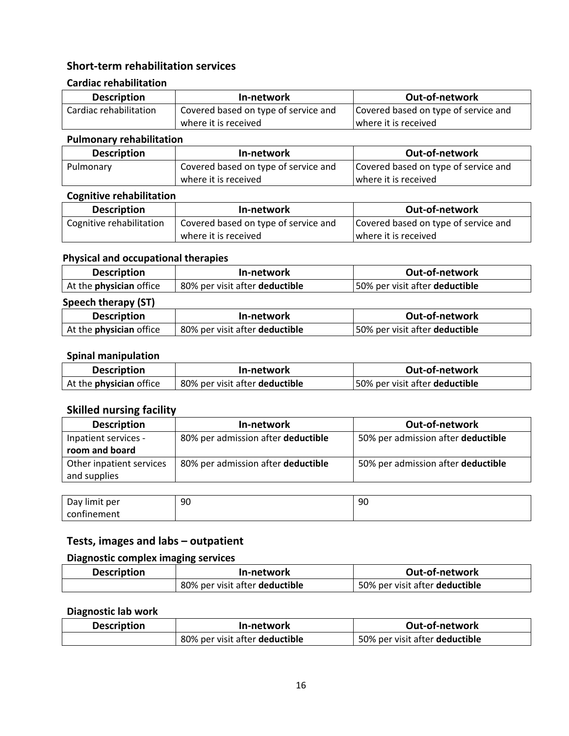## **Short-term rehabilitation services**

### **Cardiac rehabilitation**

| <b>Description</b>     | In-network                           | Out-of-network                       |
|------------------------|--------------------------------------|--------------------------------------|
| Cardiac rehabilitation | Covered based on type of service and | Covered based on type of service and |
|                        | where it is received                 | where it is received                 |

### **Pulmonary rehabilitation**

| <b>Description</b> | In-network                           | Out-of-network                       |
|--------------------|--------------------------------------|--------------------------------------|
| Pulmonary          | Covered based on type of service and | Covered based on type of service and |
|                    | where it is received                 | where it is received                 |

#### **Cognitive rehabilitation**

| <b>Description</b>       | In-network                           | <b>Out-of-network</b>                |
|--------------------------|--------------------------------------|--------------------------------------|
| Cognitive rehabilitation | Covered based on type of service and | Covered based on type of service and |
|                          | where it is received                 | where it is received                 |

## **Physical and occupational therapies**

| <b>Description</b>             | In-network                            | Out-of-network                 |
|--------------------------------|---------------------------------------|--------------------------------|
| At the <b>physician</b> office | 80% per visit after <b>deductible</b> | 50% per visit after deductible |

## **Speech therapy (ST)**

| <b>Description</b>             | In-network                     | Out-of-network                        |
|--------------------------------|--------------------------------|---------------------------------------|
| At the <b>physician</b> office | 80% per visit after deductible | 50% per visit after <b>deductible</b> |

## **Spinal manipulation**

| <b>Description</b>             | In-network                     | Out-of-network                        |
|--------------------------------|--------------------------------|---------------------------------------|
| At the <b>physician</b> office | 80% per visit after deductible | 50% per visit after <b>deductible</b> |

## **Skilled nursing facility**

| <b>Description</b>                       | In-network                         | Out-of-network                     |
|------------------------------------------|------------------------------------|------------------------------------|
| Inpatient services -                     | 80% per admission after deductible | 50% per admission after deductible |
| room and board                           |                                    |                                    |
| Other inpatient services<br>and supplies | 80% per admission after deductible | 50% per admission after deductible |
|                                          |                                    |                                    |

| -<br><br>Dav i<br>per<br><b>H</b> mit | 90 | 90 |
|---------------------------------------|----|----|
| confinement                           |    |    |

## **Tests, images and labs – outpatient**

### **Diagnostic complex imaging services**

| <b>Description</b> | In-network                     | <b>Out-of-network</b>          |
|--------------------|--------------------------------|--------------------------------|
|                    | 80% per visit after deductible | 50% per visit after deductible |

## **Diagnostic lab work**

| <b>Description</b> | In-network                     | Out-of-network                 |
|--------------------|--------------------------------|--------------------------------|
|                    | 80% per visit after deductible | 50% per visit after deductible |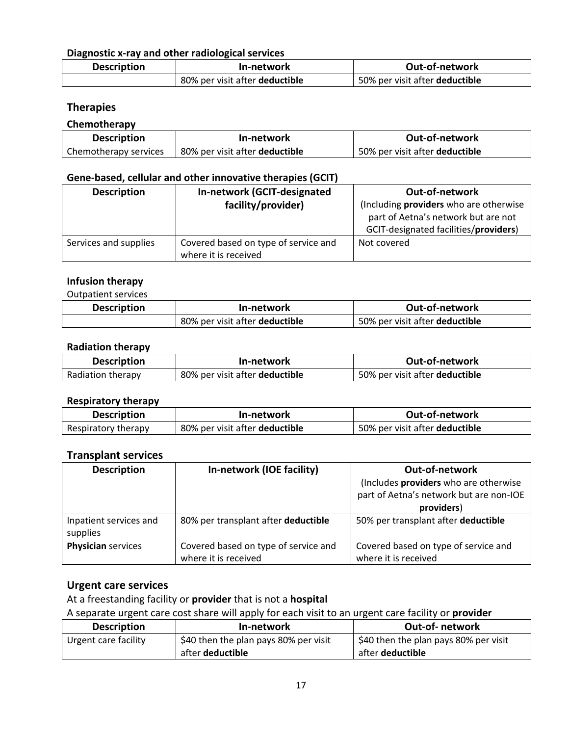## **Diagnostic x-ray and other radiological services**

| <b>Description</b> | In-network                     | <b>Out-of-network</b>          |
|--------------------|--------------------------------|--------------------------------|
|                    | 80% per visit after deductible | 50% per visit after deductible |

### **Therapies**

#### **Chemotherapy**

| <b>Description</b>    | In-network                            | Out-of-network                 |
|-----------------------|---------------------------------------|--------------------------------|
| Chemotherapy services | 80% per visit after <b>deductible</b> | 50% per visit after deductible |

#### **Gene-based, cellular and other innovative therapies (GCIT)**

| <b>Description</b>    | In-network (GCIT-designated                                  | Out-of-network                                                                                                         |
|-----------------------|--------------------------------------------------------------|------------------------------------------------------------------------------------------------------------------------|
|                       | facility/provider)                                           | (Including providers who are otherwise<br>part of Aetna's network but are not<br>GCIT-designated facilities/providers) |
| Services and supplies | Covered based on type of service and<br>where it is received | Not covered                                                                                                            |

## **Infusion therapy**

Outpatient services

| <b>Description</b> | In-network                     | Out-of-network                 |
|--------------------|--------------------------------|--------------------------------|
|                    | 80% per visit after deductible | 50% per visit after deductible |

#### **Radiation therapy**

| <b>Description</b> | In-network                     | Out-of-network                 |
|--------------------|--------------------------------|--------------------------------|
| Radiation therapy  | 80% per visit after deductible | 50% per visit after deductible |

## **Respiratory therapy**

| <b>Description</b>  | In-network                     | <b>Out-of-network</b>          |
|---------------------|--------------------------------|--------------------------------|
| Respiratory therapy | 80% per visit after deductible | 50% per visit after deductible |

### **Transplant services**

| <b>Description</b>        | In-network (IOE facility)            | Out-of-network                          |
|---------------------------|--------------------------------------|-----------------------------------------|
|                           |                                      | (Includes providers who are otherwise   |
|                           |                                      | part of Aetna's network but are non-IOE |
|                           |                                      | providers)                              |
| Inpatient services and    | 80% per transplant after deductible  | 50% per transplant after deductible     |
| supplies                  |                                      |                                         |
| <b>Physician services</b> | Covered based on type of service and | Covered based on type of service and    |
|                           | where it is received                 | where it is received                    |

## **Urgent care services**

At a freestanding facility or **provider** that is not a **hospital**

A separate urgent care cost share will apply for each visit to an urgent care facility or **provider**

| <b>Description</b>   | In-network                            | <b>Out-of-</b> network                |
|----------------------|---------------------------------------|---------------------------------------|
| Urgent care facility | \$40 then the plan pays 80% per visit | \$40 then the plan pays 80% per visit |
|                      | after <b>deductible</b>               | after <b>deductible</b>               |